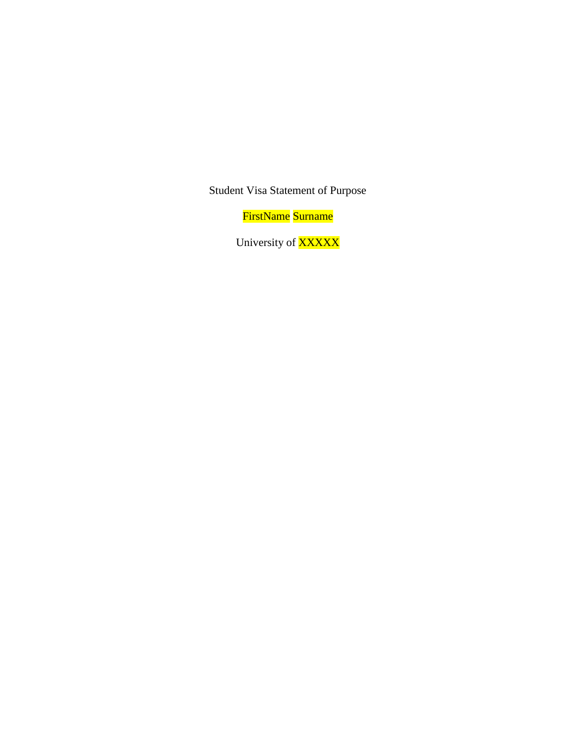Student Visa Statement of Purpose

FirstName Surname

University of **XXXXX**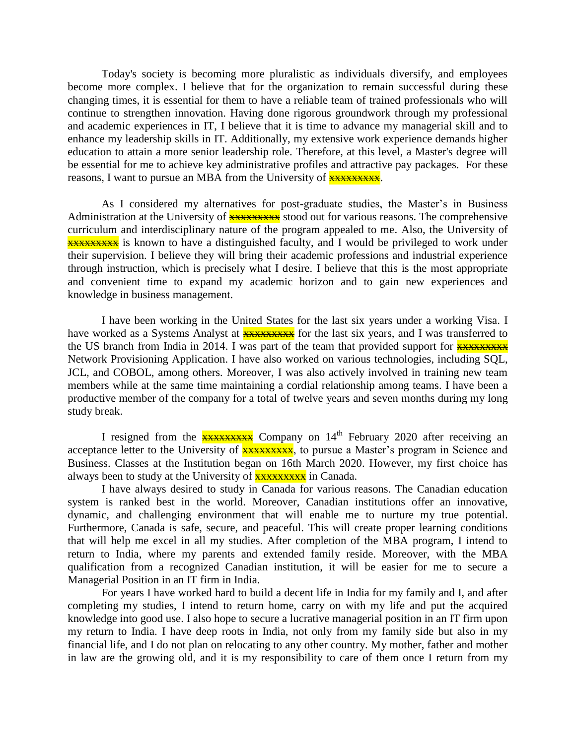Today's society is becoming more pluralistic as individuals diversify, and employees become more complex. I believe that for the organization to remain successful during these changing times, it is essential for them to have a reliable team of trained professionals who will continue to strengthen innovation. Having done rigorous groundwork through my professional and academic experiences in IT, I believe that it is time to advance my managerial skill and to enhance my leadership skills in IT. Additionally, my extensive work experience demands higher education to attain a more senior leadership role. Therefore, at this level, a Master's degree will be essential for me to achieve key administrative profiles and attractive pay packages. For these reasons, I want to pursue an MBA from the University of **XXXXXXXXXXX**.

As I considered my alternatives for post-graduate studies, the Master's in Business Administration at the University of **xxxxxxxx** stood out for various reasons. The comprehensive curriculum and interdisciplinary nature of the program appealed to me. Also, the University of **XXXXXXXXXXXXXX** is known to have a distinguished faculty, and I would be privileged to work under their supervision. I believe they will bring their academic professions and industrial experience through instruction, which is precisely what I desire. I believe that this is the most appropriate and convenient time to expand my academic horizon and to gain new experiences and knowledge in business management.

I have been working in the United States for the last six years under a working Visa. I have worked as a Systems Analyst at **XXXXXXXXX** for the last six years, and I was transferred to the US branch from India in 2014. I was part of the team that provided support for  $\frac{1}{2}x + \frac{1}{2}$ Network Provisioning Application. I have also worked on various technologies, including SQL, JCL, and COBOL, among others. Moreover, I was also actively involved in training new team members while at the same time maintaining a cordial relationship among teams. I have been a productive member of the company for a total of twelve years and seven months during my long study break.

I resigned from the  $\frac{1}{2}$   $\frac{1}{2}$  Company on 14<sup>th</sup> February 2020 after receiving an acceptance letter to the University of **XXXXXXXXX**, to pursue a Master's program in Science and Business. Classes at the Institution began on 16th March 2020. However, my first choice has always been to study at the University of **XXXXXXXXX** in Canada.

I have always desired to study in Canada for various reasons. The Canadian education system is ranked best in the world. Moreover, Canadian institutions offer an innovative, dynamic, and challenging environment that will enable me to nurture my true potential. Furthermore, Canada is safe, secure, and peaceful. This will create proper learning conditions that will help me excel in all my studies. After completion of the MBA program, I intend to return to India, where my parents and extended family reside. Moreover, with the MBA qualification from a recognized Canadian institution, it will be easier for me to secure a Managerial Position in an IT firm in India.

For years I have worked hard to build a decent life in India for my family and I, and after completing my studies, I intend to return home, carry on with my life and put the acquired knowledge into good use. I also hope to secure a lucrative managerial position in an IT firm upon my return to India. I have deep roots in India, not only from my family side but also in my financial life, and I do not plan on relocating to any other country. My mother, father and mother in law are the growing old, and it is my responsibility to care of them once I return from my